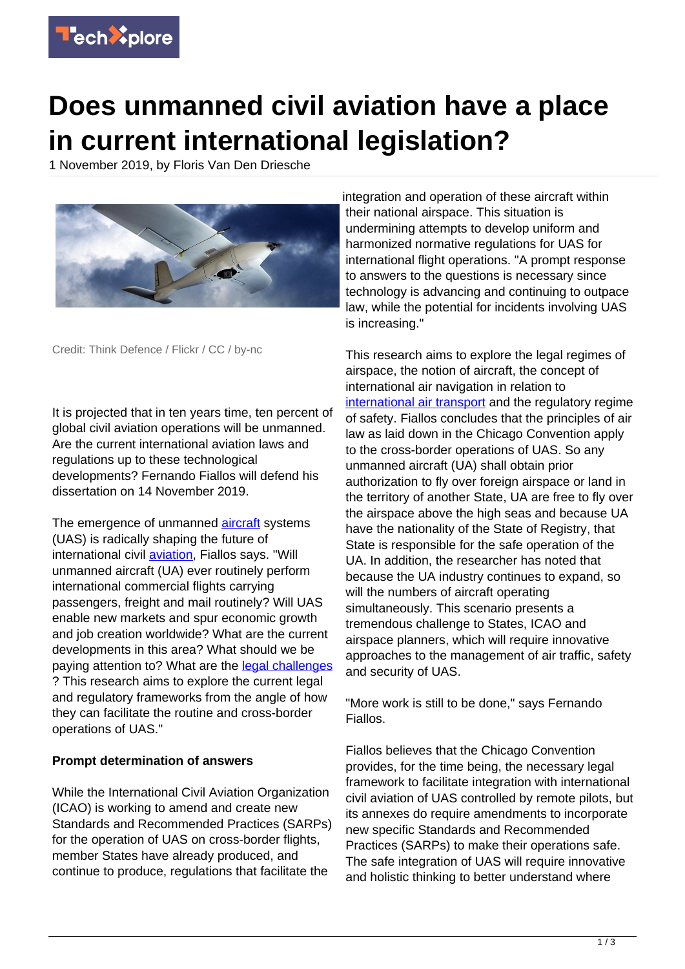

## **Does unmanned civil aviation have a place in current international legislation?**

1 November 2019, by Floris Van Den Driesche



Credit: Think Defence / Flickr / CC / by-nc

It is projected that in ten years time, ten percent of global civil aviation operations will be unmanned. Are the current international aviation laws and regulations up to these technological developments? Fernando Fiallos will defend his dissertation on 14 November 2019.

The emergence of unmanned [aircraft](https://techxplore.com/tags/aircraft/) systems (UAS) is radically shaping the future of international civil **aviation**, Fiallos says. "Will unmanned aircraft (UA) ever routinely perform international commercial flights carrying passengers, freight and mail routinely? Will UAS enable new markets and spur economic growth and job creation worldwide? What are the current developments in this area? What should we be paying attention to? What are the [legal challenges](https://techxplore.com/tags/legal+challenges/) ? This research aims to explore the current legal and regulatory frameworks from the angle of how they can facilitate the routine and cross-border operations of UAS."

## **Prompt determination of answers**

While the International Civil Aviation Organization (ICAO) is working to amend and create new Standards and Recommended Practices (SARPs) for the operation of UAS on cross-border flights, member States have already produced, and continue to produce, regulations that facilitate the

integration and operation of these aircraft within their national airspace. This situation is undermining attempts to develop uniform and harmonized normative regulations for UAS for international flight operations. "A prompt response to answers to the questions is necessary since technology is advancing and continuing to outpace law, while the potential for incidents involving UAS is increasing."

This research aims to explore the legal regimes of airspace, the notion of aircraft, the concept of international air navigation in relation to [international air transport](https://techxplore.com/tags/international+air+transport/) and the regulatory regime of safety. Fiallos concludes that the principles of air law as laid down in the Chicago Convention apply to the cross-border operations of UAS. So any unmanned aircraft (UA) shall obtain prior authorization to fly over foreign airspace or land in the territory of another State, UA are free to fly over the airspace above the high seas and because UA have the nationality of the State of Registry, that State is responsible for the safe operation of the UA. In addition, the researcher has noted that because the UA industry continues to expand, so will the numbers of aircraft operating simultaneously. This scenario presents a tremendous challenge to States, ICAO and airspace planners, which will require innovative approaches to the management of air traffic, safety and security of UAS.

"More work is still to be done," says Fernando Fiallos.

Fiallos believes that the Chicago Convention provides, for the time being, the necessary legal framework to facilitate integration with international civil aviation of UAS controlled by remote pilots, but its annexes do require amendments to incorporate new specific Standards and Recommended Practices (SARPs) to make their operations safe. The safe integration of UAS will require innovative and holistic thinking to better understand where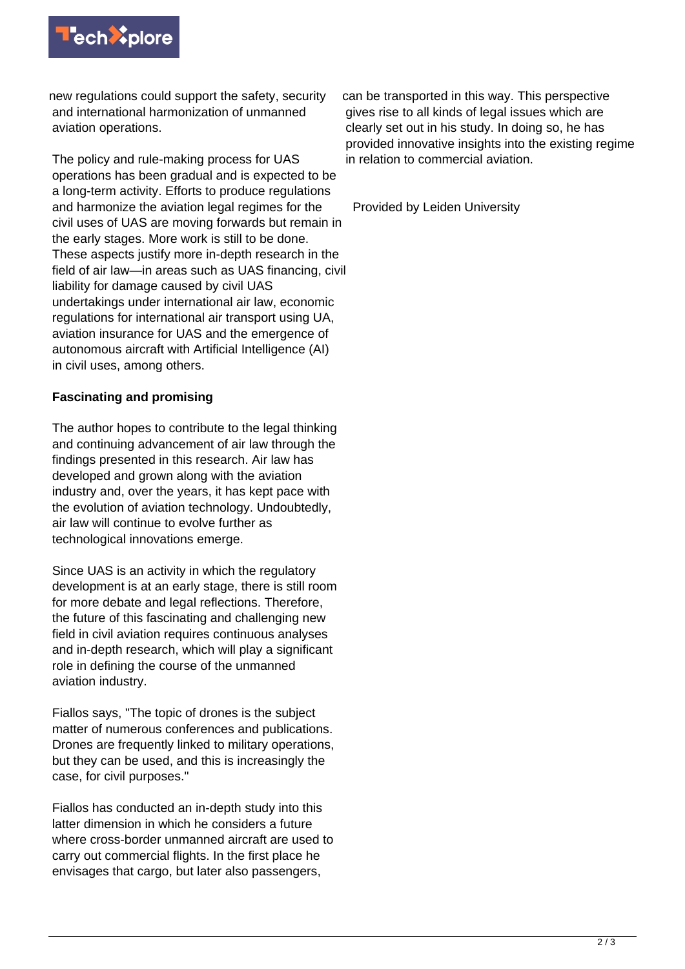

new regulations could support the safety, security and international harmonization of unmanned aviation operations.

The policy and rule-making process for UAS operations has been gradual and is expected to be a long-term activity. Efforts to produce regulations and harmonize the aviation legal regimes for the civil uses of UAS are moving forwards but remain in the early stages. More work is still to be done. These aspects justify more in-depth research in the field of air law—in areas such as UAS financing, civil liability for damage caused by civil UAS undertakings under international air law, economic regulations for international air transport using UA, aviation insurance for UAS and the emergence of autonomous aircraft with Artificial Intelligence (AI) in civil uses, among others.

## **Fascinating and promising**

The author hopes to contribute to the legal thinking and continuing advancement of air law through the findings presented in this research. Air law has developed and grown along with the aviation industry and, over the years, it has kept pace with the evolution of aviation technology. Undoubtedly, air law will continue to evolve further as technological innovations emerge.

Since UAS is an activity in which the regulatory development is at an early stage, there is still room for more debate and legal reflections. Therefore, the future of this fascinating and challenging new field in civil aviation requires continuous analyses and in-depth research, which will play a significant role in defining the course of the unmanned aviation industry.

Fiallos says, "The topic of drones is the subject matter of numerous conferences and publications. Drones are frequently linked to military operations, but they can be used, and this is increasingly the case, for civil purposes."

Fiallos has conducted an in-depth study into this latter dimension in which he considers a future where cross-border unmanned aircraft are used to carry out commercial flights. In the first place he envisages that cargo, but later also passengers,

can be transported in this way. This perspective gives rise to all kinds of legal issues which are clearly set out in his study. In doing so, he has provided innovative insights into the existing regime in relation to commercial aviation.

Provided by Leiden University